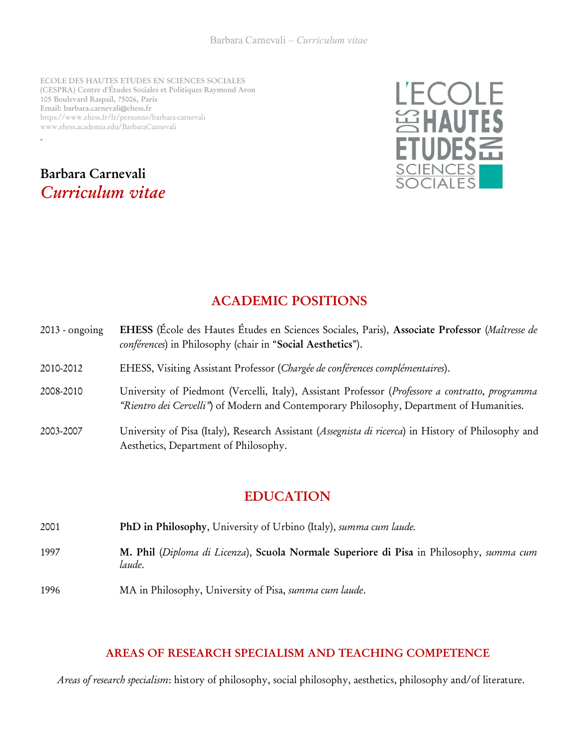ECOLE DES HAUTES ETUDES EN SCIENCES SOCIALES (CESPRA) Centre d'Études Sociales et Politiques Raymond Aron 105 Boulevard Raspail, 75006, Paris Email: barbara.carnevali@ehess.fr https://www.ehess.fr/fr/personne/barbara-carnevali www.ehess.academia.edu/BarbaraCarnevali

# Barbara Carnevali Curriculum vitae



# ACADEMIC POSITIONS

- 2013 ongoing EHESS (École des Hautes Études en Sciences Sociales, Paris), Associate Professor (Maîtresse de conférences) in Philosophy (chair in "Social Aesthetics").
- 2010-2012 EHESS, Visiting Assistant Professor (Chargée de conférences complémentaires).
- 2008-2010 University of Piedmont (Vercelli, Italy), Assistant Professor (Professore a contratto, programma "Rientro dei Cervelli") of Modern and Contemporary Philosophy, Department of Humanities.
- 2003-2007 University of Pisa (Italy), Research Assistant (Assegnista di ricerca) in History of Philosophy and Aesthetics, Department of Philosophy.

## EDUCATION

- 2001 **PhD in Philosophy**, University of Urbino (Italy), *summa cum laude.*
- 1997 M. Phil (Diploma di Licenza), Scuola Normale Superiore di Pisa in Philosophy, summa cum laude.
- 1996 MA in Philosophy, University of Pisa, summa cum laude.

#### AREAS OF RESEARCH SPECIALISM AND TEACHING COMPETENCE

Areas of research specialism: history of philosophy, social philosophy, aesthetics, philosophy and/of literature.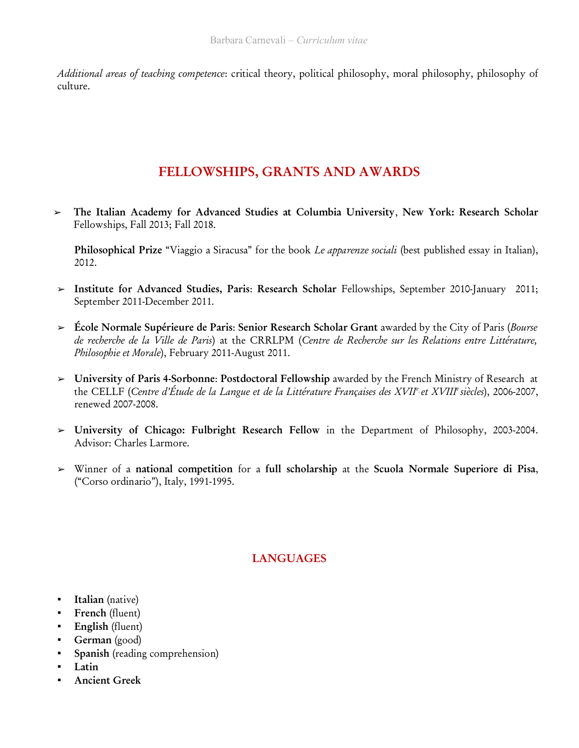Additional areas of teaching competence: critical theory, political philosophy, moral philosophy, philosophy of culture.

# FELLOWSHIPS, GRANTS AND AWARDS

➢ The Italian Academy for Advanced Studies at Columbia University, New York: Research Scholar Fellowships, Fall 2013; Fall 2018.

Philosophical Prize "Viaggio a Siracusa" for the book Le apparenze sociali (best published essay in Italian), 2012.

- ➢ Institute for Advanced Studies, Paris: Research Scholar Fellowships, September 2010-January 2011; September 2011-December 2011.
- $\geq$  École Normale Supérieure de Paris: Senior Research Scholar Grant awarded by the City of Paris (Bourse de recherche de la Ville de Paris) at the CRRLPM (Centre de Recherche sur les Relations entre Littérature, Philosophie et Morale), February 2011-August 2011.
- ➢ University of Paris 4-Sorbonne: Postdoctoral Fellowship awarded by the French Ministry of Research at the CELLF (Centre d'Étude de la Langue et de la Littérature Françaises des XVIIª et XVIIIª siècles), 2006-2007, renewed 2007-2008.
- ➢ University of Chicago: Fulbright Research Fellow in the Department of Philosophy, 2003-2004. Advisor: Charles Larmore.
- ➢ Winner of a national competition for a full scholarship at the Scuola Normale Superiore di Pisa, ("Corso ordinario"), Italy, 1991-1995.

### **LANGUAGES**

- **Example 1** Italian (native)
- **·** French (fluent)
- **English** (fluent)
- German (good)
- Spanish (reading comprehension)
- Latin
- **Ancient Greek**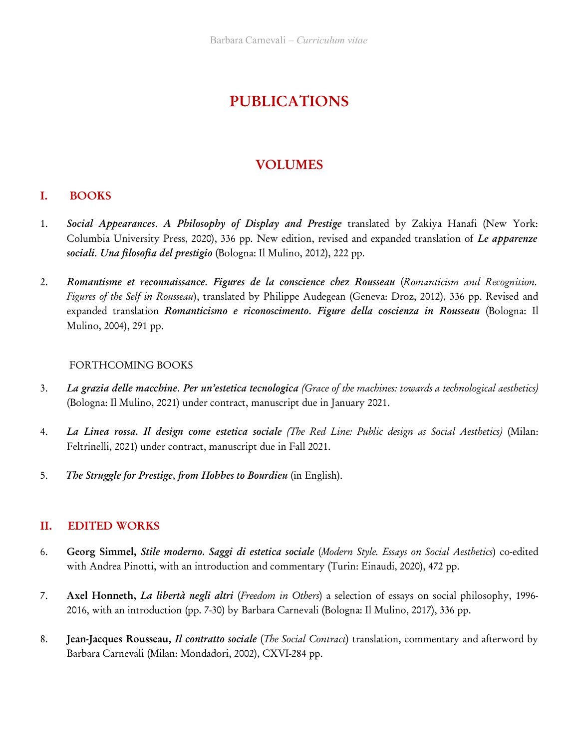# PUBLICATIONS

# VOLUMES

### I. BOOKS

- 1. Social Appearances. A Philosophy of Display and Prestige translated by Zakiya Hanafi (New York: Columbia University Press, 2020), 336 pp. New edition, revised and expanded translation of Le apparenze sociali. Una filosofia del prestigio (Bologna: Il Mulino, 2012), 222 pp.
- 2. Romantisme et reconnaissance. Figures de la conscience chez Rousseau (Romanticism and Recognition. Figures of the Self in Rousseau), translated by Philippe Audegean (Geneva: Droz, 2012), 336 pp. Revised and expanded translation Romanticismo e riconoscimento. Figure della coscienza in Rousseau (Bologna: Il Mulino, 2004), 291 pp.

#### FORTHCOMING BOOKS

- 3. La grazia delle macchine. Per un'estetica tecnologica (Grace of the machines: towards a technological aesthetics) (Bologna: Il Mulino, 2021) under contract, manuscript due in January 2021.
- 4. La Linea rossa. Il design come estetica sociale (The Red Line: Public design as Social Aesthetics) (Milan: Feltrinelli, 2021) under contract, manuscript due in Fall 2021.
- 5. The Struggle for Prestige, from Hobbes to Bourdieu (in English).

### II. EDITED WORKS

- 6. Georg Simmel, Stile moderno. Saggi di estetica sociale (Modern Style. Essays on Social Aesthetics) co-edited with Andrea Pinotti, with an introduction and commentary (Turin: Einaudi, 2020), 472 pp.
- 7. Axel Honneth, La libertà negli altri (Freedom in Others) a selection of essays on social philosophy, 1996-2016, with an introduction (pp. 7-30) by Barbara Carnevali (Bologna: Il Mulino, 2017), 336 pp.
- 8. Jean-Jacques Rousseau, *Il contratto sociale (The Social Contract)* translation, commentary and afterword by Barbara Carnevali (Milan: Mondadori, 2002), CXVI-284 pp.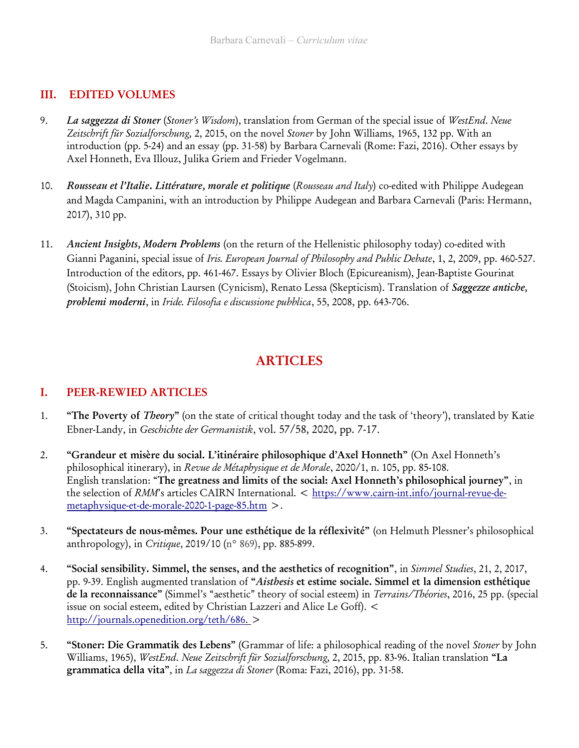### III. EDITED VOLUMES

- 9. La saggezza di Stoner (Stoner's Wisdom), translation from German of the special issue of WestEnd. Neue Zeitschrift für Sozialforschung, 2, 2015, on the novel Stoner by John Williams, 1965, 132 pp. With an introduction (pp. 5-24) and an essay (pp. 31-58) by Barbara Carnevali (Rome: Fazi, 2016). Other essays by Axel Honneth, Eva Illouz, Julika Griem and Frieder Vogelmann.
- 10. Rousseau et l'Italie. Littérature, morale et politique (Rousseau and Italy) co-edited with Philippe Audegean and Magda Campanini, with an introduction by Philippe Audegean and Barbara Carnevali (Paris: Hermann, 2017), 310 pp.
- 11. Ancient Insights, Modern Problems (on the return of the Hellenistic philosophy today) co-edited with Gianni Paganini, special issue of Iris. European Journal of Philosophy and Public Debate, 1, 2, 2009, pp. 460-527. Introduction of the editors, pp. 461-467. Essays by Olivier Bloch (Epicureanism), Jean-Baptiste Gourinat (Stoicism), John Christian Laursen (Cynicism), Renato Lessa (Skepticism). Translation of Saggezze antiche, problemi moderni, in Iride. Filosofia e discussione pubblica, 55, 2008, pp. 643-706.

# ARTICLES

### I. PEER-REWIED ARTICLES

- 1. "The Poverty of Theory" (on the state of critical thought today and the task of 'theory'), translated by Katie Ebner-Landy, in Geschichte der Germanistik, vol. 57/58, 2020, pp. 7-17.
- 2. "Grandeur et misère du social. L'itinéraire philosophique d'Axel Honneth" (On Axel Honneth's philosophical itinerary), in Revue de Métaphysique et de Morale, 2020/1, n. 105, pp. 85-108. English translation: "The greatness and limits of the social: Axel Honneth's philosophical journey", in the selection of RMM's articles CAIRN International. < https://www.cairn-int.info/journal-revue-demetaphysique-et-de-morale-2020-1-page-85.htm >.
- 3. "Spectateurs de nous-mêmes. Pour une esthétique de la réflexivité" (on Helmuth Plessner's philosophical anthropology), in Critique, 2019/10 (n° 869), pp. 885-899.
- 4. "Social sensibility. Simmel, the senses, and the aesthetics of recognition", in Simmel Studies, 21, 2, 2017, pp. 9-39. English augmented translation of "Aisthesis et estime sociale. Simmel et la dimension esthétique de la reconnaissance" (Simmel's "aesthetic" theory of social esteem) in Terrains/Théories, 2016, 25 pp. (special issue on social esteem, edited by Christian Lazzeri and Alice Le Goff). < http://journals.openedition.org/teth/686 . >
- 5. "Stoner: Die Grammatik des Lebens" (Grammar of life: a philosophical reading of the novel Stoner by John Williams, 1965), WestEnd. Neue Zeitschrift für Sozialforschung, 2, 2015, pp. 83-96. Italian translation "La grammatica della vita", in La saggezza di Stoner (Roma: Fazi, 2016), pp. 31-58.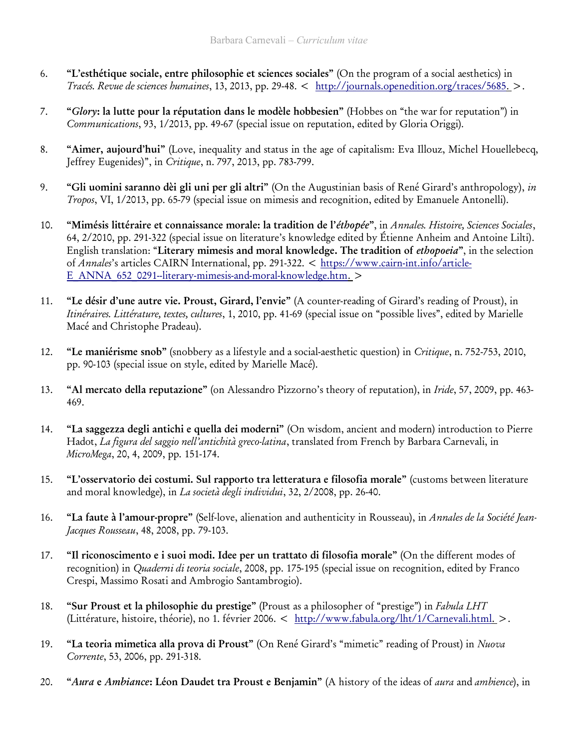- 6. "L'esthétique sociale, entre philosophie et sciences sociales" (On the program of a social aesthetics) in Tracés. Revue de sciences humaines, 13, 2013, pp. 29-48. < http://journals.openedition.org/traces/5685 .>.
- 7. "Glory: la lutte pour la réputation dans le modèle hobbesien" (Hobbes on "the war for reputation") in Communications, 93, 1/2013, pp. 49-67 (special issue on reputation, edited by Gloria Origgi).
- 8. "Aimer, aujourd'hui" (Love, inequality and status in the age of capitalism: Eva Illouz, Michel Houellebecq, Jeffrey Eugenides)", in Critique, n. 797, 2013, pp. 783-799.
- 9. "Gli uomini saranno dèi gli uni per gli altri" (On the Augustinian basis of René Girard's anthropology), in Tropos, VI, 1/2013, pp. 65-79 (special issue on mimesis and recognition, edited by Emanuele Antonelli).
- 10. "Mimésis littéraire et connaissance morale: la tradition de l'éthopée", in Annales. Histoire, Sciences Sociales, 64, 2/2010, pp. 291-322 (special issue on literature's knowledge edited by Étienne Anheim and Antoine Lilti). English translation: "Literary mimesis and moral knowledge. The tradition of ethopoeia", in the selection of Annales's articles CAIRN International, pp. 291-322. < https://www.cairn-int.info/article-E\_ANNA\_652\_0291--literary-mimesis-and-moral-knowledge.htm. >
- 11. "Le désir d'une autre vie. Proust, Girard, l'envie" (A counter-reading of Girard's reading of Proust), in Itinéraires. Littérature, textes, cultures, 1, 2010, pp. 41-69 (special issue on "possible lives", edited by Marielle Macé and Christophe Pradeau).
- 12. "Le maniérisme snob" (snobbery as a lifestyle and a social-aesthetic question) in Critique, n. 752-753, 2010, pp. 90-103 (special issue on style, edited by Marielle Macé).
- 13. "Al mercato della reputazione" (on Alessandro Pizzorno's theory of reputation), in *Iride*, 57, 2009, pp. 463-469.
- 14. "La saggezza degli antichi e quella dei moderni" (On wisdom, ancient and modern) introduction to Pierre Hadot, La figura del saggio nell'antichità greco-latina, translated from French by Barbara Carnevali, in MicroMega, 20, 4, 2009, pp. 151-174.
- 15. "L'osservatorio dei costumi. Sul rapporto tra letteratura e filosofia morale" (customs between literature and moral knowledge), in La società degli individui, 32, 2/2008, pp. 26-40.
- 16. "La faute à l'amour-propre" (Self-love, alienation and authenticity in Rousseau), in Annales de la Société Jean-Jacques Rousseau, 48, 2008, pp. 79-103.
- 17. "Il riconoscimento e i suoi modi. Idee per un trattato di filosofia morale" (On the different modes of recognition) in Quaderni di teoria sociale, 2008, pp. 175-195 (special issue on recognition, edited by Franco Crespi, Massimo Rosati and Ambrogio Santambrogio).
- 18. "Sur Proust et la philosophie du prestige" (Proust as a philosopher of "prestige") in Fabula LHT (Littérature, histoire, théorie), no 1. février 2006. < http://www.fabula.org/lht/1/Carnevali.html .>.
- 19. "La teoria mimetica alla prova di Proust" (On René Girard's "mimetic" reading of Proust) in Nuova Corrente, 53, 2006, pp. 291-318.
- 20. "Aura e Ambiance: Léon Daudet tra Proust e Benjamin" (A history of the ideas of aura and ambience), in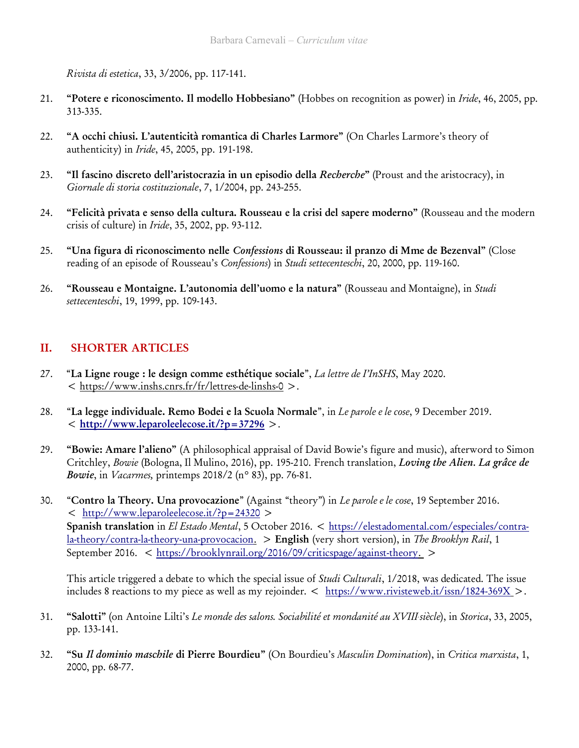Rivista di estetica, 33, 3/2006, pp. 117-141.

- 21. "Potere e riconoscimento. Il modello Hobbesiano" (Hobbes on recognition as power) in *Iride*, 46, 2005, pp. 313-335.
- 22. "A occhi chiusi. L'autenticità romantica di Charles Larmore" (On Charles Larmore's theory of authenticity) in Iride, 45, 2005, pp. 191-198.
- 23. "Il fascino discreto dell'aristocrazia in un episodio della Recherche" (Proust and the aristocracy), in Giornale di storia costituzionale, 7, 1/2004, pp. 243-255.
- 24. "Felicità privata e senso della cultura. Rousseau e la crisi del sapere moderno" (Rousseau and the modern crisis of culture) in Iride, 35, 2002, pp. 93-112.
- 25. "Una figura di riconoscimento nelle Confessions di Rousseau: il pranzo di Mme de Bezenval" (Close reading of an episode of Rousseau's Confessions) in Studi settecenteschi, 20, 2000, pp. 119-160.
- 26. "Rousseau e Montaigne. L'autonomia dell'uomo e la natura" (Rousseau and Montaigne), in Studi settecenteschi, 19, 1999, pp. 109-143.

### II. SHORTER ARTICLES

- 27. "La Ligne rouge : le design comme esthétique sociale", La lettre de I'InSHS, May 2020. < https://www.inshs.cnrs.fr/fr/lettres-de-linshs-0 >.
- 28. "La legge individuale. Remo Bodei e la Scuola Normale", in Le parole e le cose, 9 December 2019.  $\langle h_{\text{t}}/h_{\text{w}}/h_{\text{w}}/h_{\text{t}}/h_{\text{t}}/h_{\text{t}}/h_{\text{t}}/h_{\text{t}}/h_{\text{t}}/h_{\text{t}}/h_{\text{t}}/h_{\text{t}}/h_{\text{t}}/h_{\text{t}}/h_{\text{t}}/h_{\text{t}}/h_{\text{t}}/h_{\text{t}}/h_{\text{t}}/h_{\text{t}}/h_{\text{t}}/h_{\text{t}}/h_{\text{t}}/h_{\text{t}}/h_{\text{t}}/h_{\text{t}}/h_{\text{t}}/h_{$
- 29. "Bowie: Amare l'alieno" (A philosophical appraisal of David Bowie's figure and music), afterword to Simon Critchley, Bowie (Bologna, Il Mulino, 2016), pp. 195-210. French translation, Loving the Alien. La grâce de Bowie, in Vacarmes, printemps 2018/2 (n° 83), pp. 76-81.
- 30. "Contro la Theory. Una provocazione" (Against "theory") in Le parole e le cose, 19 September 2016. < http://www.leparoleelecose.it/?p=24320 > Spanish translation in El Estado Mental, 5 October 2016. < https://elestadomental.com/especiales/contra- $\frac{1}{2}$ -theory/contra-la-theory-una-provocacion. > English (very short version), in The Brooklyn Rail, 1 September 2016. < https://brooklynrail.org/2016/09/criticspage/against-theory. >

This article triggered a debate to which the special issue of *Studi Culturali*, 1/2018, was dedicated. The issue includes 8 reactions to my piece as well as my rejoinder.  $\langle h_{\text{ttps}}/h_{\text{ww}} \rangle$  issn/1824-369X  $\rangle$ .

- 31. "Salotti" (on Antoine Lilti's Le monde des salons. Sociabilité et mondanité au XVIII siècle), in Storica, 33, 2005, pp. 133-141.
- 32. "Su Il dominio maschile di Pierre Bourdieu" (On Bourdieu's Masculin Domination), in Critica marxista, 1, 2000, pp. 68-77.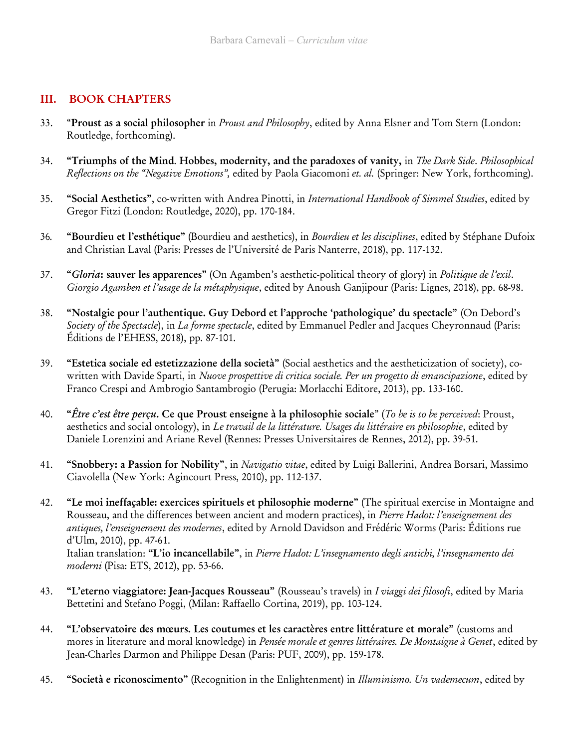### III. BOOK CHAPTERS

- 33. "Proust as a social philosopher in *Proust and Philosophy*, edited by Anna Elsner and Tom Stern (London: Routledge, forthcoming).
- 34. "Triumphs of the Mind. Hobbes, modernity, and the paradoxes of vanity, in The Dark Side. Philosophical Reflections on the "Negative Emotions", edited by Paola Giacomoni et. al. (Springer: New York, forthcoming).
- 35. "Social Aesthetics", co-written with Andrea Pinotti, in International Handbook of Simmel Studies, edited by Gregor Fitzi (London: Routledge, 2020), pp. 170-184.
- 36. "Bourdieu et l'esthétique" (Bourdieu and aesthetics), in Bourdieu et les disciplines, edited by Stéphane Dufoix and Christian Laval (Paris: Presses de l'Université de Paris Nanterre, 2018), pp. 117-132.
- 37. "Gloria: sauver les apparences" (On Agamben's aesthetic-political theory of glory) in Politique de l'exil. Giorgio Agamben et l'usage de la métaphysique, edited by Anoush Ganjipour (Paris: Lignes, 2018), pp. 68-98.
- 38. "Nostalgie pour l'authentique. Guy Debord et l'approche 'pathologique' du spectacle" (On Debord's Society of the Spectacle), in La forme spectacle, edited by Emmanuel Pedler and Jacques Cheyronnaud (Paris: Éditions de l'EHESS, 2018), pp. 87-101.
- 39. "Estetica sociale ed estetizzazione della società" (Social aesthetics and the aestheticization of society), cowritten with Davide Sparti, in Nuove prospettive di critica sociale. Per un progetto di emancipazione, edited by Franco Crespi and Ambrogio Santambrogio (Perugia: Morlacchi Editore, 2013), pp. 133-160.
- 40. "Être c'est être perçu. Ce que Proust enseigne à la philosophie sociale" (To be is to be perceived: Proust, aesthetics and social ontology), in Le travail de la littérature. Usages du littéraire en philosophie, edited by Daniele Lorenzini and Ariane Revel (Rennes: Presses Universitaires de Rennes, 2012), pp. 39-51.
- 41. "Snobbery: a Passion for Nobility", in Navigatio vitae, edited by Luigi Ballerini, Andrea Borsari, Massimo Ciavolella (New York: Agincourt Press, 2010), pp. 112-137.
- 42. "Le moi ineffaçable: exercices spirituels et philosophie moderne" (The spiritual exercise in Montaigne and Rousseau, and the differences between ancient and modern practices), in Pierre Hadot: l'enseignement des antiques, l'enseignement des modernes, edited by Arnold Davidson and Frédéric Worms (Paris: Éditions rue d'Ulm, 2010), pp. 47-61. Italian translation: "L'io incancellabile", in Pierre Hadot: L'insegnamento degli antichi, l'insegnamento dei moderni (Pisa: ETS, 2012), pp. 53-66.
- 43. "L'eterno viaggiatore: Jean-Jacques Rousseau" (Rousseau's travels) in I viaggi dei filosofi, edited by Maria Bettetini and Stefano Poggi, (Milan: Raffaello Cortina, 2019), pp. 103-124.
- 44. "L'observatoire des mœurs. Les coutumes et les caractères entre littérature et morale" (customs and mores in literature and moral knowledge) in Pensée morale et genres littéraires. De Montaigne à Genet, edited by Jean-Charles Darmon and Philippe Desan (Paris: PUF, 2009), pp. 159-178.
- 45. "Società e riconoscimento" (Recognition in the Enlightenment) in Illuminismo. Un vademecum, edited by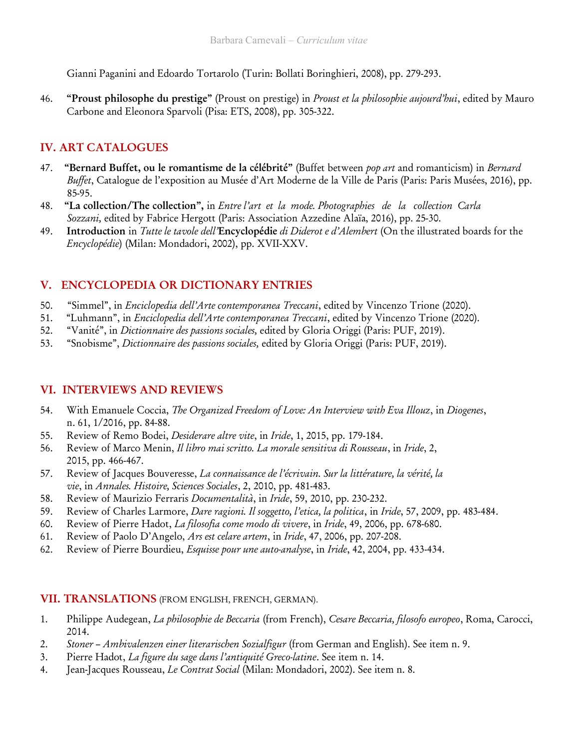Gianni Paganini and Edoardo Tortarolo (Turin: Bollati Boringhieri, 2008), pp. 279-293.

46. "Proust philosophe du prestige" (Proust on prestige) in *Proust et la philosophie aujourd'hui*, edited by Mauro Carbone and Eleonora Sparvoli (Pisa: ETS, 2008), pp. 305-322.

### IV. ART CATALOGUES

- 47. "Bernard Buffet, ou le romantisme de la célébrité" (Buffet between pop art and romanticism) in Bernard Buffet, Catalogue de l'exposition au Musée d'Art Moderne de la Ville de Paris (Paris: Paris Musées, 2016), pp. 85-95.
- 48. "La collection/The collection", in Entre l'art et la mode. Photographies de la collection Carla Sozzani, edited by Fabrice Hergott (Paris: Association Azzedine Alaïa, 2016), pp. 25-30.
- 49. Introduction in Tutte le tavole dell'Encyclopédie di Diderot e d'Alembert (On the illustrated boards for the Encyclopédie) (Milan: Mondadori, 2002), pp. XVII-XXV.

### V. ENCYCLOPEDIA OR DICTIONARY ENTRIES

- 50. "Simmel", in Enciclopedia dell'Arte contemporanea Treccani, edited by Vincenzo Trione (2020).
- 51. "Luhmann", in *Enciclopedia dell'Arte contemporanea Treccani*, edited by Vincenzo Trione (2020).
- 52. "Vanité", in Dictionnaire des passions sociales, edited by Gloria Origgi (Paris: PUF, 2019).
- 53. "Snobisme", Dictionnaire des passions sociales, edited by Gloria Origgi (Paris: PUF, 2019).

### VI. INTERVIEWS AND REVIEWS

- 54. With Emanuele Coccia, The Organized Freedom of Love: An Interview with Eva Illouz, in Diogenes, n. 61, 1/2016, pp. 84-88.
- 55. Review of Remo Bodei, *Desiderare altre vite*, in Iride, 1, 2015, pp. 179-184.
- 56. Review of Marco Menin, Il libro mai scritto. La morale sensitiva di Rousseau, in Iride, 2, 2015, pp. 466-467.
- 57. Review of Jacques Bouveresse, La connaissance de l'écrivain. Sur la littérature, la vérité, la vie, in Annales. Histoire, Sciences Sociales, 2, 2010, pp. 481-483.
- 58. Review of Maurizio Ferraris Documentalità, in Iride, 59, 2010, pp. 230-232.
- 59. Review of Charles Larmore, Dare ragioni. Il soggetto, l'etica, la politica, in Iride, 57, 2009, pp. 483-484.
- 60. Review of Pierre Hadot, La filosofia come modo di vivere, in Iride, 49, 2006, pp. 678-680.
- 61. Review of Paolo D'Angelo, Ars est celare artem, in Iride, 47, 2006, pp. 207-208.
- 62. Review of Pierre Bourdieu, Esquisse pour une auto-analyse, in Iride, 42, 2004, pp. 433-434.

#### VII. TRANSLATIONS (FROM ENGLISH, FRENCH, GERMAN).

- 1. Philippe Audegean, La philosophie de Beccaria (from French), Cesare Beccaria, filosofo europeo, Roma, Carocci, 2014.
- 2. Stoner Ambivalenzen einer literarischen Sozialfigur (from German and English). See item n. 9.
- 3. Pierre Hadot, La figure du sage dans l'antiquité Greco-latine. See item n. 14.
- 4. Jean-Jacques Rousseau, Le Contrat Social (Milan: Mondadori, 2002). See item n. 8.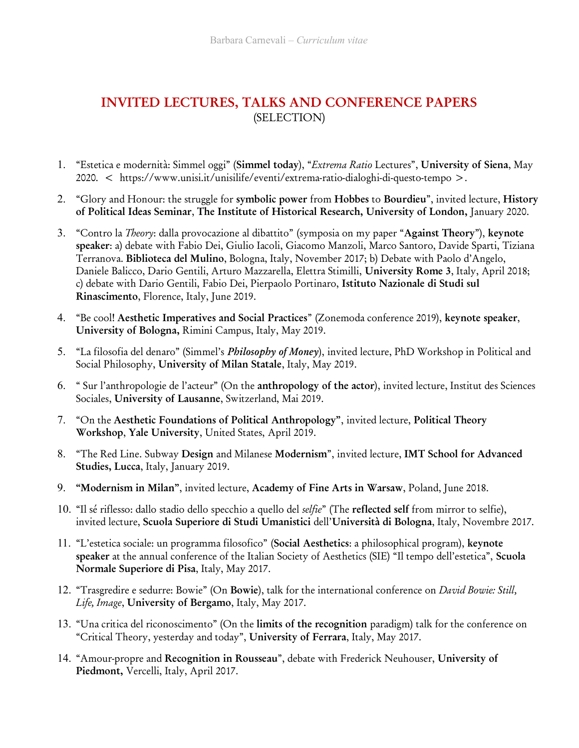# INVITED LECTURES, TALKS AND CONFERENCE PAPERS (SELECTION)

- 1. "Estetica e modernità: Simmel oggi" (Simmel today), "Extrema Ratio Lectures", University of Siena, May 2020. < https://www.unisi.it/unisilife/eventi/extrema-ratio-dialoghi-di-questo-tempo >.
- 2. "Glory and Honour: the struggle for symbolic power from Hobbes to Bourdieu", invited lecture, History of Political Ideas Seminar, The Institute of Historical Research, University of London, January 2020.
- 3. "Contro la *Theory*: dalla provocazione al dibattito" (symposia on my paper "Against Theory"), keynote speaker: a) debate with Fabio Dei, Giulio Iacoli, Giacomo Manzoli, Marco Santoro, Davide Sparti, Tiziana Terranova. Biblioteca del Mulino, Bologna, Italy, November 2017; b) Debate with Paolo d'Angelo, Daniele Balicco, Dario Gentili, Arturo Mazzarella, Elettra Stimilli, University Rome 3, Italy, April 2018; c) debate with Dario Gentili, Fabio Dei, Pierpaolo Portinaro, Istituto Nazionale di Studi sul Rinascimento, Florence, Italy, June 2019.
- 4. "Be cool! Aesthetic Imperatives and Social Practices" (Zonemoda conference 2019), keynote speaker, University of Bologna, Rimini Campus, Italy, May 2019.
- 5. "La filosofia del denaro" (Simmel's *Philosophy of Money*), invited lecture, PhD Workshop in Political and Social Philosophy, University of Milan Statale, Italy, May 2019.
- 6. " Sur l'anthropologie de l'acteur" (On the anthropology of the actor), invited lecture, Institut des Sciences Sociales, University of Lausanne, Switzerland, Mai 2019.
- 7. "On the Aesthetic Foundations of Political Anthropology", invited lecture, Political Theory Workshop, Yale University, United States, April 2019.
- 8. "The Red Line. Subway Design and Milanese Modernism", invited lecture, IMT School for Advanced Studies, Lucca, Italy, January 2019.
- 9. "Modernism in Milan", invited lecture, Academy of Fine Arts in Warsaw, Poland, June 2018.
- 10. "Il sé riflesso: dallo stadio dello specchio a quello del selfie" (The reflected self from mirror to selfie), invited lecture, Scuola Superiore di Studi Umanistici dell'Università di Bologna, Italy, Novembre 2017.
- 11. "L'estetica sociale: un programma filosofico" (Social Aesthetics: a philosophical program), keynote speaker at the annual conference of the Italian Society of Aesthetics (SIE) "Il tempo dell'estetica", Scuola Normale Superiore di Pisa, Italy, May 2017.
- 12. "Trasgredire e sedurre: Bowie" (On Bowie), talk for the international conference on David Bowie: Still, Life, Image, University of Bergamo, Italy, May 2017.
- 13. "Una critica del riconoscimento" (On the limits of the recognition paradigm) talk for the conference on "Critical Theory, yesterday and today", University of Ferrara, Italy, May 2017.
- 14. "Amour-propre and Recognition in Rousseau", debate with Frederick Neuhouser, University of Piedmont, Vercelli, Italy, April 2017.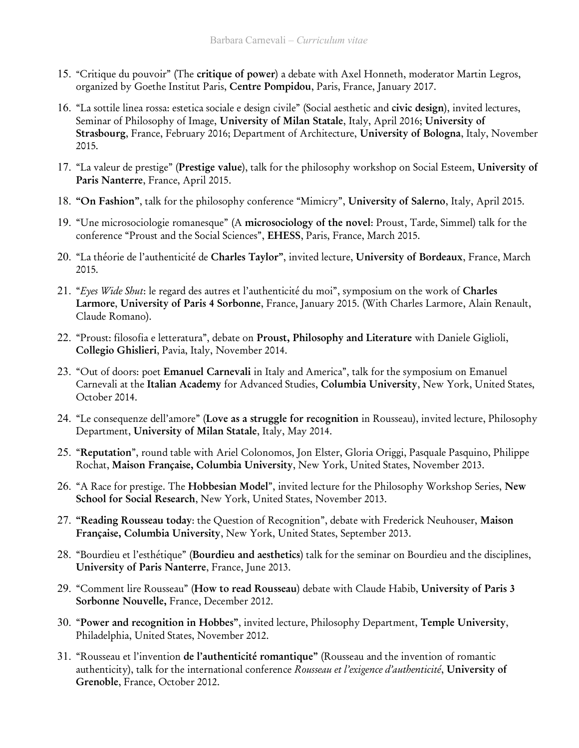- 15. "Critique du pouvoir" (The critique of power) a debate with Axel Honneth, moderator Martin Legros, organized by Goethe Institut Paris, Centre Pompidou, Paris, France, January 2017.
- 16. "La sottile linea rossa: estetica sociale e design civile" (Social aesthetic and civic design), invited lectures, Seminar of Philosophy of Image, University of Milan Statale, Italy, April 2016; University of Strasbourg, France, February 2016; Department of Architecture, University of Bologna, Italy, November 2015.
- 17. "La valeur de prestige" (Prestige value), talk for the philosophy workshop on Social Esteem, University of Paris Nanterre, France, April 2015.
- 18. "On Fashion", talk for the philosophy conference "Mimicry", University of Salerno, Italy, April 2015.
- 19. "Une microsociologie romanesque" (A microsociology of the novel: Proust, Tarde, Simmel) talk for the conference "Proust and the Social Sciences", EHESS, Paris, France, March 2015.
- 20. "La théorie de l'authenticité de Charles Taylor", invited lecture, University of Bordeaux, France, March 2015.
- 21. "Eyes Wide Shut: le regard des autres et l'authenticité du moi", symposium on the work of Charles Larmore, University of Paris 4 Sorbonne, France, January 2015. (With Charles Larmore, Alain Renault, Claude Romano).
- 22. "Proust: filosofia e letteratura", debate on Proust, Philosophy and Literature with Daniele Giglioli, Collegio Ghislieri, Pavia, Italy, November 2014.
- 23. "Out of doors: poet Emanuel Carnevali in Italy and America", talk for the symposium on Emanuel Carnevali at the Italian Academy for Advanced Studies, Columbia University, New York, United States, October 2014.
- 24. "Le consequenze dell'amore" (Love as a struggle for recognition in Rousseau), invited lecture, Philosophy Department, University of Milan Statale, Italy, May 2014.
- 25. "Reputation", round table with Ariel Colonomos, Jon Elster, Gloria Origgi, Pasquale Pasquino, Philippe Rochat, Maison Française, Columbia University, New York, United States, November 2013.
- 26. "A Race for prestige. The Hobbesian Model", invited lecture for the Philosophy Workshop Series, New School for Social Research, New York, United States, November 2013.
- 27. "Reading Rousseau today: the Question of Recognition", debate with Frederick Neuhouser, Maison Française, Columbia University, New York, United States, September 2013.
- 28. "Bourdieu et l'esthétique" (Bourdieu and aesthetics) talk for the seminar on Bourdieu and the disciplines, University of Paris Nanterre, France, June 2013.
- 29. "Comment lire Rousseau" (How to read Rousseau) debate with Claude Habib, University of Paris 3 Sorbonne Nouvelle, France, December 2012.
- 30. "Power and recognition in Hobbes", invited lecture, Philosophy Department, Temple University, Philadelphia, United States, November 2012.
- 31. "Rousseau et l'invention de l'authenticité romantique" (Rousseau and the invention of romantic authenticity), talk for the international conference Rousseau et l'exigence d'authenticité, University of Grenoble, France, October 2012.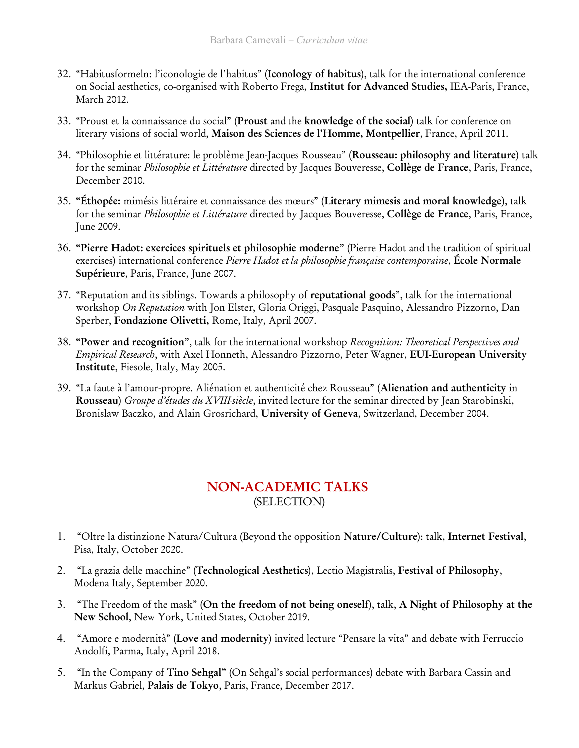- 32. "Habitusformeln: l'iconologie de l'habitus" (Iconology of habitus), talk for the international conference on Social aesthetics, co-organised with Roberto Frega, Institut for Advanced Studies, IEA-Paris, France, March 2012.
- 33. "Proust et la connaissance du social" (Proust and the knowledge of the social) talk for conference on literary visions of social world, Maison des Sciences de l'Homme, Montpellier, France, April 2011.
- 34. "Philosophie et littérature: le problème Jean-Jacques Rousseau" (Rousseau: philosophy and literature) talk for the seminar *Philosophie et Littérature* directed by Jacques Bouveresse, Collège de France, Paris, France, December 2010.
- 35. "Éthopée: mimésis littéraire et connaissance des mœurs" (Literary mimesis and moral knowledge), talk for the seminar *Philosophie et Littérature* directed by Jacques Bouveresse, Collège de France, Paris, France, June 2009.
- 36. "Pierre Hadot: exercices spirituels et philosophie moderne" (Pierre Hadot and the tradition of spiritual exercises) international conference Pierre Hadot et la philosophie française contemporaine, École Normale Supérieure, Paris, France, June 2007.
- 37. "Reputation and its siblings. Towards a philosophy of reputational goods", talk for the international workshop On Reputation with Jon Elster, Gloria Origgi, Pasquale Pasquino, Alessandro Pizzorno, Dan Sperber, Fondazione Olivetti, Rome, Italy, April 2007.
- 38. "Power and recognition", talk for the international workshop Recognition: Theoretical Perspectives and Empirical Research, with Axel Honneth, Alessandro Pizzorno, Peter Wagner, EUI-European University Institute, Fiesole, Italy, May 2005.
- 39. "La faute à l'amour-propre. Aliénation et authenticité chez Rousseau" (Alienation and authenticity in Rousseau) Groupe d'études du XVIII siècle, invited lecture for the seminar directed by Jean Starobinski, Bronislaw Baczko, and Alain Grosrichard, University of Geneva, Switzerland, December 2004.

# NON-ACADEMIC TALKS (SELECTION)

- 1. "Oltre la distinzione Natura/Cultura (Beyond the opposition Nature/Culture): talk, Internet Festival, Pisa, Italy, October 2020.
- 2. "La grazia delle macchine" (Technological Aesthetics), Lectio Magistralis, Festival of Philosophy, Modena Italy, September 2020.
- 3. "The Freedom of the mask" (On the freedom of not being oneself), talk, A Night of Philosophy at the New School, New York, United States, October 2019.
- 4. "Amore e modernità" (Love and modernity) invited lecture "Pensare la vita" and debate with Ferruccio Andolfi, Parma, Italy, April 2018.
- 5. "In the Company of Tino Sehgal" (On Sehgal's social performances) debate with Barbara Cassin and Markus Gabriel, Palais de Tokyo, Paris, France, December 2017.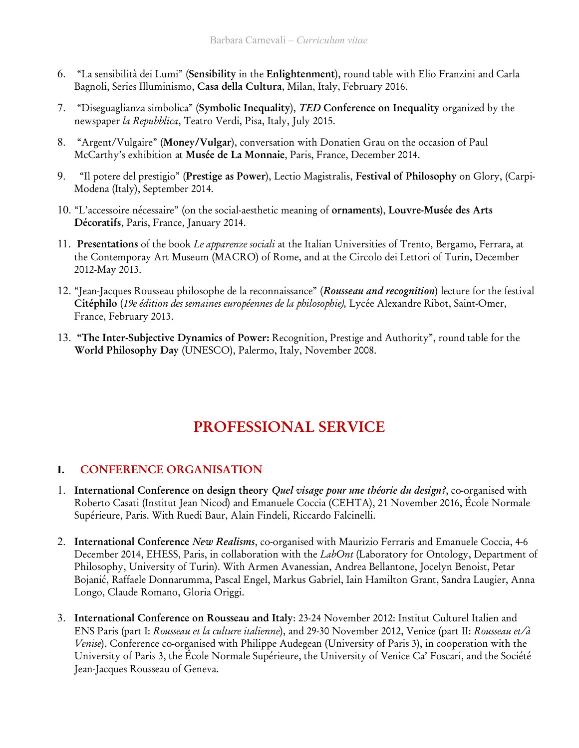- 6. "La sensibilità dei Lumi" (Sensibility in the Enlightenment), round table with Elio Franzini and Carla Bagnoli, Series Illuminismo, Casa della Cultura, Milan, Italy, February 2016.
- 7. "Diseguaglianza simbolica" (Symbolic Inequality), TED Conference on Inequality organized by the newspaper la Repubblica, Teatro Verdi, Pisa, Italy, July 2015.
- 8. "Argent/Vulgaire" (Money/Vulgar), conversation with Donatien Grau on the occasion of Paul McCarthy's exhibition at Musée de La Monnaie, Paris, France, December 2014.
- 9. "Il potere del prestigio" (Prestige as Power), Lectio Magistralis, Festival of Philosophy on Glory, (Carpi-Modena (Italy), September 2014.
- 10. "L'accessoire nécessaire" (on the social-aesthetic meaning of ornaments), Louvre-Musée des Arts Décoratifs, Paris, France, January 2014.
- 11. Presentations of the book Le apparenze sociali at the Italian Universities of Trento, Bergamo, Ferrara, at the Contemporay Art Museum (MACRO) of Rome, and at the Circolo dei Lettori of Turin, December 2012-May 2013.
- 12. "Jean-Jacques Rousseau philosophe de la reconnaissance" (Rousseau and recognition) lecture for the festival Citéphilo (19e édition des semaines européennes de la philosophie), Lycée Alexandre Ribot, Saint-Omer, France, February 2013.
- 13. "The Inter-Subjective Dynamics of Power: Recognition, Prestige and Authority", round table for the World Philosophy Day (UNESCO), Palermo, Italy, November 2008.

# PROFESSIONAL SERVICE

### I. CONFERENCE ORGANISATION

- 1. International Conference on design theory *Quel visage pour une théorie du design?*, co-organised with Roberto Casati (Institut Jean Nicod) and Emanuele Coccia (CEHTA), 21 November 2016, École Normale Supérieure, Paris. With Ruedi Baur, Alain Findeli, Riccardo Falcinelli.
- 2. International Conference New Realisms, co-organised with Maurizio Ferraris and Emanuele Coccia, 4-6 December 2014, EHESS, Paris, in collaboration with the LabOnt (Laboratory for Ontology, Department of Philosophy, University of Turin). With Armen Avanessian, Andrea Bellantone, Jocelyn Benoist, Petar Bojanić, Raffaele Donnarumma, Pascal Engel, Markus Gabriel, Iain Hamilton Grant, Sandra Laugier, Anna Longo, Claude Romano, Gloria Origgi.
- 3. International Conference on Rousseau and Italy: 23-24 November 2012: Institut Culturel Italien and ENS Paris (part I: Rousseau et la culture italienne), and 29-30 November 2012, Venice (part II: Rousseau et/à Venise). Conference co-organised with Philippe Audegean (University of Paris 3), in cooperation with the University of Paris 3, the École Normale Supérieure, the University of Venice Ca' Foscari, and the Société Jean-Jacques Rousseau of Geneva.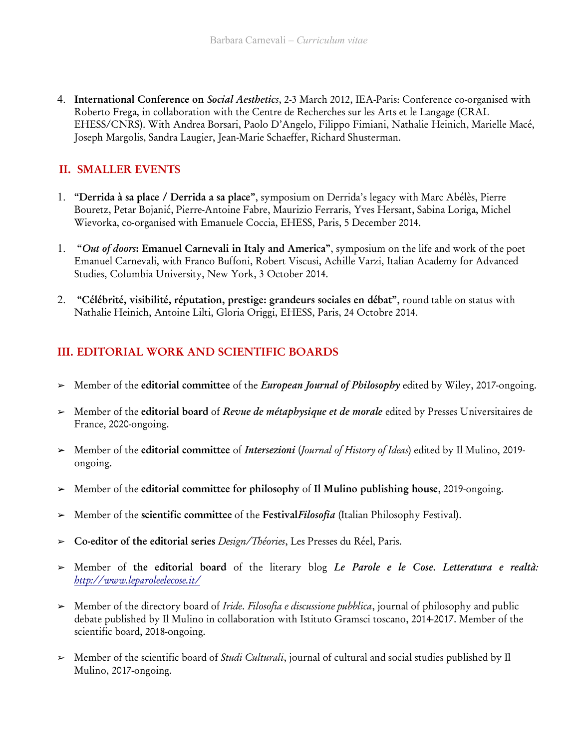4. International Conference on Social Aesthetics, 2-3 March 2012, IEA-Paris: Conference co-organised with Roberto Frega, in collaboration with the Centre de Recherches sur les Arts et le Langage (CRAL EHESS/CNRS). With Andrea Borsari, Paolo D'Angelo, Filippo Fimiani, Nathalie Heinich, Marielle Macé, Joseph Margolis, Sandra Laugier, Jean-Marie Schaeffer, Richard Shusterman.

### II. SMALLER EVENTS

- 1. "Derrida à sa place / Derrida a sa place", symposium on Derrida's legacy with Marc Abélès, Pierre Bouretz, Petar Bojanić, Pierre-Antoine Fabre, Maurizio Ferraris, Yves Hersant, Sabina Loriga, Michel Wievorka, co-organised with Emanuele Coccia, EHESS, Paris, 5 December 2014.
- 1. "Out of doors: Emanuel Carnevali in Italy and America", symposium on the life and work of the poet Emanuel Carnevali, with Franco Buffoni, Robert Viscusi, Achille Varzi, Italian Academy for Advanced Studies, Columbia University, New York, 3 October 2014.
- 2. "Célébrité, visibilité, réputation, prestige: grandeurs sociales en débat", round table on status with Nathalie Heinich, Antoine Lilti, Gloria Origgi, EHESS, Paris, 24 Octobre 2014.

### III. EDITORIAL WORK AND SCIENTIFIC BOARDS

- > Member of the editorial committee of the *European Journal of Philosophy* edited by Wiley, 2017-ongoing.
- ➢ Member of the editorial board of Revue de métaphysique et de morale edited by Presses Universitaires de France, 2020-ongoing.
- ➢ Member of the editorial committee of Intersezioni (Journal of History of Ideas) edited by Il Mulino, 2019 ongoing.
- ➢ Member of the editorial committee for philosophy of Il Mulino publishing house, 2019-ongoing.
- > Member of the scientific committee of the FestivalFilosofia (Italian Philosophy Festival).
- ➢ Co-editor of the editorial series Design/Théories, Les Presses du Réel, Paris.
- > Member of the editorial board of the literary blog Le Parole e le Cose. Letteratura e realtà: http://www.leparoleelecose.it/
- ➢ Member of the directory board of Iride. Filosofia e discussione pubblica, journal of philosophy and public debate published by Il Mulino in collaboration with Istituto Gramsci toscano, 2014-2017. Member of the scientific board, 2018-ongoing.
- ➢ Member of the scientific board of Studi Culturali, journal of cultural and social studies published by Il Mulino, 2017-ongoing.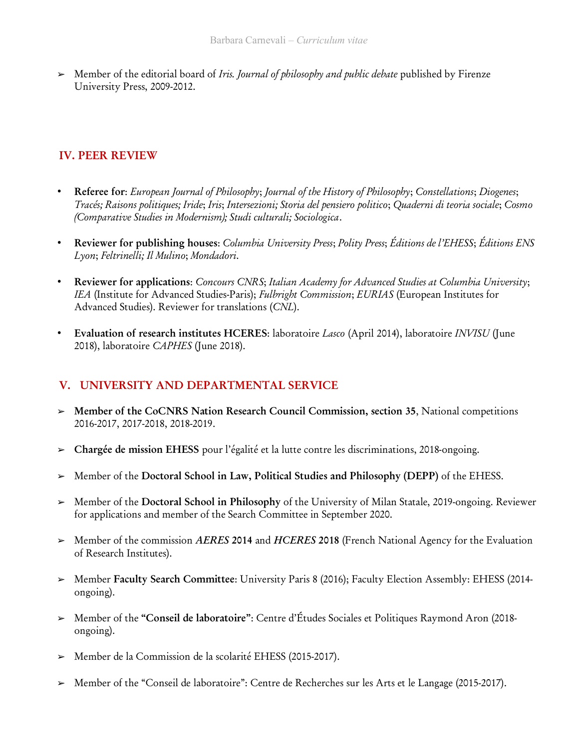$\triangleright$  Member of the editorial board of *Iris. Journal of philosophy and public debate* published by Firenze University Press, 2009-2012.

## IV. PEER REVIEW

- Referee for: European Journal of Philosophy; Journal of the History of Philosophy; Constellations; Diogenes; Tracés; Raisons politiques; Iride; Iris; Intersezioni; Storia del pensiero politico; Quaderni di teoria sociale; Cosmo (Comparative Studies in Modernism); Studi culturali; Sociologica.
- Reviewer for publishing houses: Columbia University Press; Polity Press; Éditions de l'EHESS; Éditions ENS Lyon; Feltrinelli; Il Mulino; Mondadori.
- Reviewer for applications: Concours CNRS; Italian Academy for Advanced Studies at Columbia University; IEA (Institute for Advanced Studies-Paris); Fulbright Commission; EURIAS (European Institutes for Advanced Studies). Reviewer for translations (CNL).
- Evaluation of research institutes HCERES: laboratoire Lasco (April 2014), laboratoire INVISU (June 2018), laboratoire CAPHES (June 2018).

### V. UNIVERSITY AND DEPARTMENTAL SERVICE

- ➢ Member of the CoCNRS Nation Research Council Commission, section 35, National competitions 2016-2017, 2017-2018, 2018-2019.
- ➢ Chargée de mission EHESS pour l'égalité et la lutte contre les discriminations, 2018-ongoing.
- ➢ Member of the Doctoral School in Law, Political Studies and Philosophy (DEPP) of the EHESS.
- ➢ Member of the Doctoral School in Philosophy of the University of Milan Statale, 2019-ongoing. Reviewer for applications and member of the Search Committee in September 2020.
- $\triangleright$  Member of the commission AERES 2014 and HCERES 2018 (French National Agency for the Evaluation of Research Institutes).
- ➢ Member Faculty Search Committee: University Paris 8 (2016); Faculty Election Assembly: EHESS (2014 ongoing).
- ➢ Member of the "Conseil de laboratoire": Centre d'Études Sociales et Politiques Raymond Aron (2018 ongoing).
- ➢ Member de la Commission de la scolarité EHESS (2015-2017).
- ➢ Member of the "Conseil de laboratoire": Centre de Recherches sur les Arts et le Langage (2015-2017).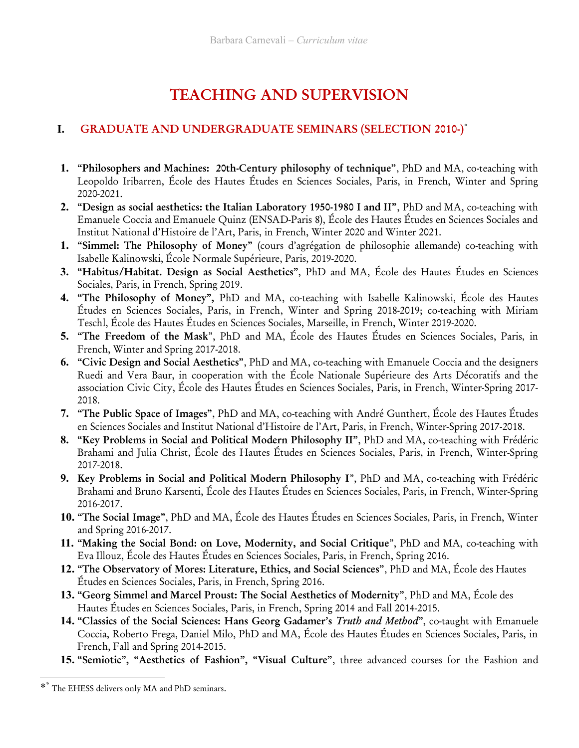# TEACHING AND SUPERVISION

# I. GRADUATE AND UNDERGRADUATE SEMINARS (SELECTION 2010-)\*

- 1. "Philosophers and Machines: 20th-Century philosophy of technique", PhD and MA, co-teaching with Leopoldo Iribarren, École des Hautes Études en Sciences Sociales, Paris, in French, Winter and Spring 2020-2021.
- 2. "Design as social aesthetics: the Italian Laboratory 1950-1980 I and II", PhD and MA, co-teaching with Emanuele Coccia and Emanuele Quinz (ENSAD-Paris 8), École des Hautes Études en Sciences Sociales and Institut National d'Histoire de l'Art, Paris, in French, Winter 2020 and Winter 2021.
- 1. "Simmel: The Philosophy of Money" (cours d'agrégation de philosophie allemande) co-teaching with Isabelle Kalinowski, École Normale Supérieure, Paris, 2019-2020.
- 3. "Habitus/Habitat. Design as Social Aesthetics", PhD and MA, École des Hautes Études en Sciences Sociales, Paris, in French, Spring 2019.
- 4. "The Philosophy of Money", PhD and MA, co-teaching with Isabelle Kalinowski, École des Hautes Études en Sciences Sociales, Paris, in French, Winter and Spring 2018-2019; co-teaching with Miriam Teschl, École des Hautes Études en Sciences Sociales, Marseille, in French, Winter 2019-2020.
- 5. "The Freedom of the Mask", PhD and MA, École des Hautes Études en Sciences Sociales, Paris, in French, Winter and Spring 2017-2018.
- 6. "Civic Design and Social Aesthetics", PhD and MA, co-teaching with Emanuele Coccia and the designers Ruedi and Vera Baur, in cooperation with the École Nationale Supérieure des Arts Décoratifs and the association Civic City, École des Hautes Études en Sciences Sociales, Paris, in French, Winter-Spring 2017- 2018.
- 7. "The Public Space of Images", PhD and MA, co-teaching with André Gunthert, École des Hautes Études en Sciences Sociales and Institut National d'Histoire de l'Art, Paris, in French, Winter-Spring 2017-2018.
- 8. "Key Problems in Social and Political Modern Philosophy II", PhD and MA, co-teaching with Frédéric Brahami and Julia Christ, École des Hautes Études en Sciences Sociales, Paris, in French, Winter-Spring 2017-2018.
- 9. Key Problems in Social and Political Modern Philosophy I", PhD and MA, co-teaching with Frédéric Brahami and Bruno Karsenti, École des Hautes Études en Sciences Sociales, Paris, in French, Winter-Spring 2016-2017.
- 10. "The Social Image", PhD and MA, École des Hautes Études en Sciences Sociales, Paris, in French, Winter and Spring 2016-2017.
- 11. "Making the Social Bond: on Love, Modernity, and Social Critique", PhD and MA, co-teaching with Eva Illouz, École des Hautes Études en Sciences Sociales, Paris, in French, Spring 2016.
- 12. "The Observatory of Mores: Literature, Ethics, and Social Sciences", PhD and MA, École des Hautes Études en Sciences Sociales, Paris, in French, Spring 2016.
- 13. "Georg Simmel and Marcel Proust: The Social Aesthetics of Modernity", PhD and MA, École des Hautes Études en Sciences Sociales, Paris, in French, Spring 2014 and Fall 2014-2015.
- 14. "Classics of the Social Sciences: Hans Georg Gadamer's Truth and Method", co-taught with Emanuele Coccia, Roberto Frega, Daniel Milo, PhD and MA, École des Hautes Études en Sciences Sociales, Paris, in French, Fall and Spring 2014-2015.
- 15. "Semiotic", "Aesthetics of Fashion", "Visual Culture", three advanced courses for the Fashion and

<sup>\*</sup> \* The EHESS delivers only MA and PhD seminars.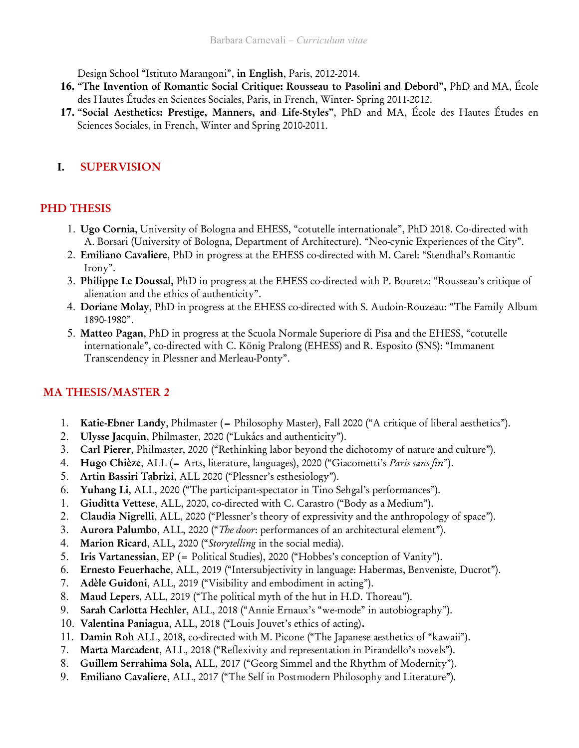Design School "Istituto Marangoni", in English, Paris, 2012-2014.

- 16. "The Invention of Romantic Social Critique: Rousseau to Pasolini and Debord", PhD and MA, École des Hautes Études en Sciences Sociales, Paris, in French, Winter- Spring 2011-2012.
- 17. "Social Aesthetics: Prestige, Manners, and Life-Styles", PhD and MA, École des Hautes Études en Sciences Sociales, in French, Winter and Spring 2010-2011.

### I. SUPERVISION

### PHD THESIS

- 1. Ugo Cornia, University of Bologna and EHESS, "cotutelle internationale", PhD 2018. Co-directed with A. Borsari (University of Bologna, Department of Architecture). "Neo-cynic Experiences of the City".
- 2. Emiliano Cavaliere, PhD in progress at the EHESS co-directed with M. Carel: "Stendhal's Romantic Irony".
- 3. Philippe Le Doussal, PhD in progress at the EHESS co-directed with P. Bouretz: "Rousseau's critique of alienation and the ethics of authenticity".
- 4. Doriane Molay, PhD in progress at the EHESS co-directed with S. Audoin-Rouzeau: "The Family Album 1890-1980".
- 5. Matteo Pagan, PhD in progress at the Scuola Normale Superiore di Pisa and the EHESS, "cotutelle internationale", co-directed with C. König Pralong (EHESS) and R. Esposito (SNS): "Immanent Transcendency in Plessner and Merleau-Ponty".

### MA THESIS/MASTER 2

- 1. Katie-Ebner Landy, Philmaster (= Philosophy Master), Fall 2020 ("A critique of liberal aesthetics").
- 2. Ulysse Jacquin, Philmaster, 2020 ("Lukács and authenticity").
- 3. Carl Pierer, Philmaster, 2020 ("Rethinking labor beyond the dichotomy of nature and culture").
- 4. Hugo Chièze, ALL (= Arts, literature, languages), 2020 ("Giacometti's Paris sans fin").
- 5. Artin Bassiri Tabrizi, ALL 2020 ("Plessner's esthesiology").
- 6. Yuhang Li, ALL, 2020 ("The participant-spectator in Tino Sehgal's performances").
- 1. Giuditta Vettese, ALL, 2020, co-directed with C. Carastro ("Body as a Medium").
- 2. Claudia Nigrelli, ALL, 2020 ("Plessner's theory of expressivity and the anthropology of space").
- 3. Aurora Palumbo, ALL, 2020 ("The door: performances of an architectural element").
- 4. Marion Ricard, ALL, 2020 ("Storytelling in the social media).
- 5. Iris Vartanessian, EP (= Political Studies), 2020 ("Hobbes's conception of Vanity").
- 6. Ernesto Feuerhache, ALL, 2019 ("Intersubjectivity in language: Habermas, Benveniste, Ducrot").
- 7. Adèle Guidoni, ALL, 2019 ("Visibility and embodiment in acting").
- 8. Maud Lepers, ALL, 2019 ("The political myth of the hut in H.D. Thoreau").
- 9. Sarah Carlotta Hechler, ALL, 2018 ("Annie Ernaux's "we-mode" in autobiography").
- 10. Valentina Paniagua, ALL, 2018 ("Louis Jouvet's ethics of acting).
- 11. Damin Roh ALL, 2018, co-directed with M. Picone ("The Japanese aesthetics of "kawaii").
- 7. Marta Marcadent, ALL, 2018 ("Reflexivity and representation in Pirandello's novels").
- 8. Guillem Serrahima Sola, ALL, 2017 ("Georg Simmel and the Rhythm of Modernity").
- 9. Emiliano Cavaliere, ALL, 2017 ("The Self in Postmodern Philosophy and Literature").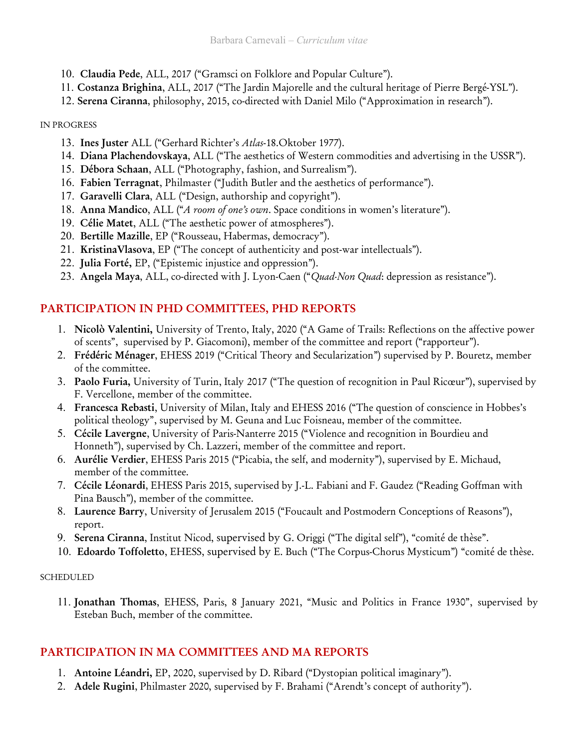- 10. Claudia Pede, ALL, 2017 ("Gramsci on Folklore and Popular Culture").
- 11. Costanza Brighina, ALL, 2017 ("The Jardin Majorelle and the cultural heritage of Pierre Bergé-YSL").
- 12. Serena Ciranna, philosophy, 2015, co-directed with Daniel Milo ("Approximation in research").

#### IN PROGRESS

- 13. Ines Juster ALL ("Gerhard Richter's Atlas-18.Oktober 1977).
- 14. Diana Plachendovskaya, ALL ("The aesthetics of Western commodities and advertising in the USSR").
- 15. Débora Schaan, ALL ("Photography, fashion, and Surrealism").
- 16. Fabien Terragnat, Philmaster ("Judith Butler and the aesthetics of performance").
- 17. Garavelli Clara, ALL ("Design, authorship and copyright").
- 18. Anna Mandico, ALL ("A room of one's own. Space conditions in women's literature").
- 19. Célie Matet, ALL ("The aesthetic power of atmospheres").
- 20. Bertille Mazille, EP ("Rousseau, Habermas, democracy").
- 21. KristinaVlasova, EP ("The concept of authenticity and post-war intellectuals").
- 22. Julia Forté, EP, ("Epistemic injustice and oppression").
- 23. Angela Maya, ALL, co-directed with J. Lyon-Caen ("Quad-Non Quad: depression as resistance").

# PARTICIPATION IN PHD COMMITTEES, PHD REPORTS

- 1. Nicolò Valentini, University of Trento, Italy, 2020 ("A Game of Trails: Reflections on the affective power of scents", supervised by P. Giacomoni), member of the committee and report ("rapporteur").
- 2. Frédéric Ménager, EHESS 2019 ("Critical Theory and Secularization") supervised by P. Bouretz, member of the committee.
- 3. Paolo Furia, University of Turin, Italy 2017 ("The question of recognition in Paul Ricœur"), supervised by F. Vercellone, member of the committee.
- 4. Francesca Rebasti, University of Milan, Italy and EHESS 2016 ("The question of conscience in Hobbes's political theology", supervised by M. Geuna and Luc Foisneau, member of the committee.
- 5. Cécile Lavergne, University of Paris-Nanterre 2015 ("Violence and recognition in Bourdieu and Honneth"), supervised by Ch. Lazzeri, member of the committee and report.
- 6. Aurélie Verdier, EHESS Paris 2015 ("Picabia, the self, and modernity"), supervised by E. Michaud, member of the committee.
- 7. Cécile Léonardi, EHESS Paris 2015, supervised by J.-L. Fabiani and F. Gaudez ("Reading Goffman with Pina Bausch"), member of the committee.
- 8. Laurence Barry, University of Jerusalem 2015 ("Foucault and Postmodern Conceptions of Reasons"), report.
- 9. Serena Ciranna, Institut Nicod, supervised by G. Origgi ("The digital self"), "comité de thèse".
- 10. Edoardo Toffoletto, EHESS, supervised by E. Buch ("The Corpus-Chorus Mysticum") "comité de thèse.

### SCHEDULED

11. Jonathan Thomas, EHESS, Paris, 8 January 2021, "Music and Politics in France 1930", supervised by Esteban Buch, member of the committee.

# PARTICIPATION IN MA COMMITTEES AND MA REPORTS

- 1. Antoine Léandri, EP, 2020, supervised by D. Ribard ("Dystopian political imaginary").
- 2. Adele Rugini, Philmaster 2020, supervised by F. Brahami ("Arendt's concept of authority").